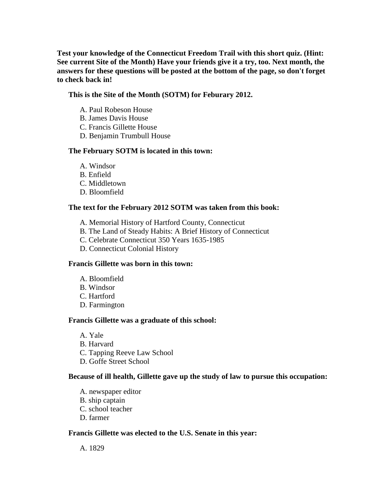**Test your knowledge of the Connecticut Freedom Trail with this short quiz. (Hint: See current Site of the Month) Have your friends give it a try, too. Next month, the answers for these questions will be posted at the bottom of the page, so don't forget to check back in!**

# **This is the Site of the Month (SOTM) for Feburary 2012.**

- A. Paul Robeson House
- B. James Davis House
- C. Francis Gillette House
- D. Benjamin Trumbull House

### **The February SOTM is located in this town:**

- A. Windsor
- B. Enfield
- C. Middletown
- D. Bloomfield

## **The text for the February 2012 SOTM was taken from this book:**

- A. Memorial History of Hartford County, Connecticut
- B. The Land of Steady Habits: A Brief History of Connecticut
- C. Celebrate Connecticut 350 Years 1635-1985
- D. Connecticut Colonial History

### **Francis Gillette was born in this town:**

- A. Bloomfield
- B. Windsor
- C. Hartford
- D. Farmington

### **Francis Gillette was a graduate of this school:**

A. Yale B. Harvard C. Tapping Reeve Law School D. Goffe Street School

### **Because of ill health, Gillette gave up the study of law to pursue this occupation:**

A. newspaper editor B. ship captain C. school teacher D. farmer

## **Francis Gillette was elected to the U.S. Senate in this year:**

A. 1829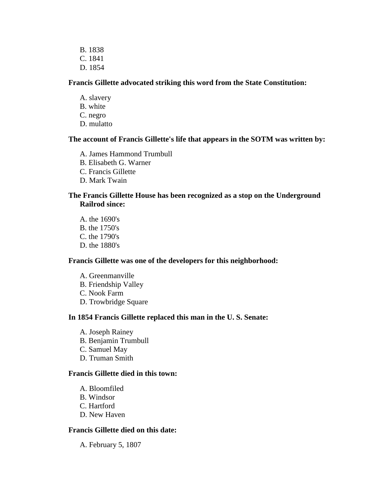B. 1838 C. 1841 D. 1854

## **Francis Gillette advocated striking this word from the State Constitution:**

- A. slavery
- B. white
- C. negro
- D. mulatto

## **The account of Francis Gillette's life that appears in the SOTM was written by:**

- A. James Hammond Trumbull
- B. Elisabeth G. Warner
- C. Francis Gillette
- D. Mark Twain

# **The Francis Gillette House has been recognized as a stop on the Underground Railrod since:**

A. the 1690's B. the 1750's C. the 1790's D. the 1880's

### **Francis Gillette was one of the developers for this neighborhood:**

A. Greenmanville B. Friendship Valley C. Nook Farm D. Trowbridge Square

# **In 1854 Francis Gillette replaced this man in the U. S. Senate:**

A. Joseph Rainey B. Benjamin Trumbull C. Samuel May D. Truman Smith

# **Francis Gillette died in this town:**

- A. Bloomfiled
- B. Windsor
- C. Hartford
- D. New Haven

# **Francis Gillette died on this date:**

A. February 5, 1807